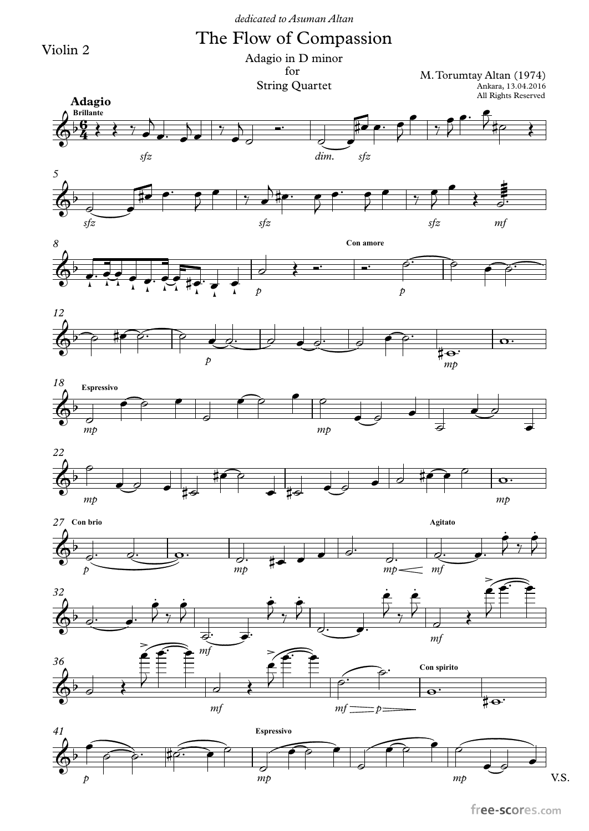Violin 2

The Flow of Compassion

for Adagio in D minor

String Quartet

Ankara, 13.04.2016 M.Torumtay Altan (1974)



free-scores.com